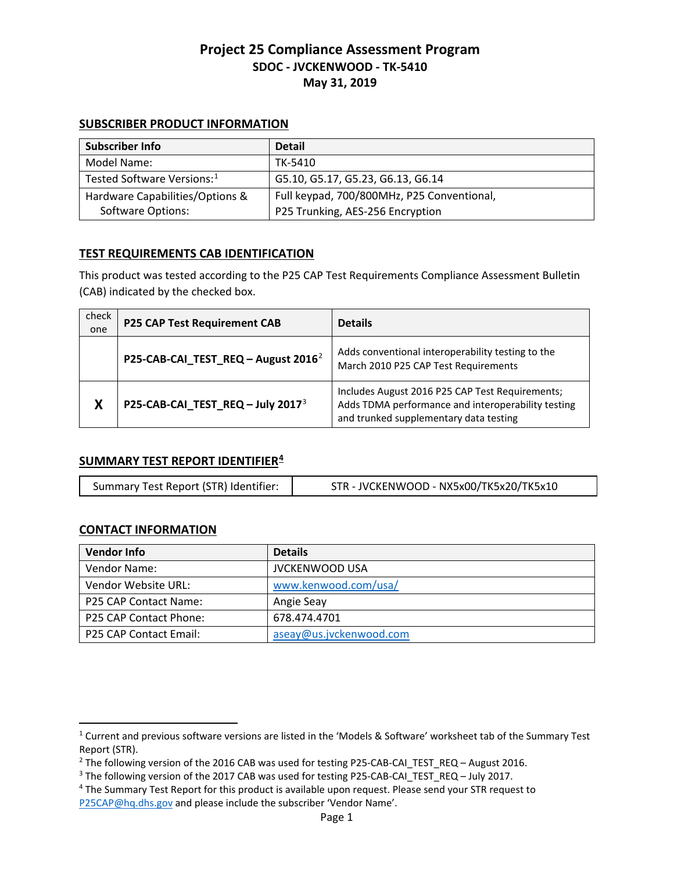#### **SUBSCRIBER PRODUCT INFORMATION**

| Subscriber Info                        | <b>Detail</b>                              |
|----------------------------------------|--------------------------------------------|
| Model Name:                            | TK-5410                                    |
| Tested Software Versions: <sup>1</sup> | G5.10, G5.17, G5.23, G6.13, G6.14          |
| Hardware Capabilities/Options &        | Full keypad, 700/800MHz, P25 Conventional, |
| Software Options:                      | P25 Trunking, AES-256 Encryption           |

### **TEST REQUIREMENTS CAB IDENTIFICATION**

This product was tested according to the P25 CAP Test Requirements Compliance Assessment Bulletin (CAB) indicated by the checked box.

| check<br>one | <b>P25 CAP Test Requirement CAB</b>             | <b>Details</b>                                                                                                                                  |
|--------------|-------------------------------------------------|-------------------------------------------------------------------------------------------------------------------------------------------------|
|              | P25-CAB-CAI_TEST_REQ - August 2016 <sup>2</sup> | Adds conventional interoperability testing to the<br>March 2010 P25 CAP Test Requirements                                                       |
| Χ            | P25-CAB-CAI_TEST_REQ - July 2017 <sup>3</sup>   | Includes August 2016 P25 CAP Test Requirements;<br>Adds TDMA performance and interoperability testing<br>and trunked supplementary data testing |

### **SUMMARY TEST REPORT IDENTIFIER[4](#page-0-3)**

|  | Summary Test Report (STR) Identifier: | STR - JVCKENWOOD - NX5x00/TK5x20/TK5x10 |
|--|---------------------------------------|-----------------------------------------|
|--|---------------------------------------|-----------------------------------------|

### **CONTACT INFORMATION**

 $\overline{a}$ 

| <b>Vendor Info</b>            | <b>Details</b>          |
|-------------------------------|-------------------------|
| Vendor Name:                  | <b>JVCKENWOOD USA</b>   |
| Vendor Website URL:           | www.kenwood.com/usa/    |
| P25 CAP Contact Name:         | Angie Seay              |
| <b>P25 CAP Contact Phone:</b> | 678.474.4701            |
| P25 CAP Contact Email:        | aseay@us.jvckenwood.com |

<span id="page-0-0"></span><sup>1</sup> Current and previous software versions are listed in the 'Models & Software' worksheet tab of the Summary Test Report (STR).

<span id="page-0-1"></span><sup>&</sup>lt;sup>2</sup> The following version of the 2016 CAB was used for testing P25-CAB-CAI\_TEST\_REQ – August 2016.<br><sup>3</sup> The following version of the 2017 CAB was used for testing P25-CAB-CAI\_TEST\_REQ – July 2017.<br><sup>4</sup> The Summary Test Repo

<span id="page-0-2"></span>

<span id="page-0-3"></span>[P25CAP@hq.dhs.gov](mailto:P25CAP@hq.dhs.gov) and please include the subscriber 'Vendor Name'.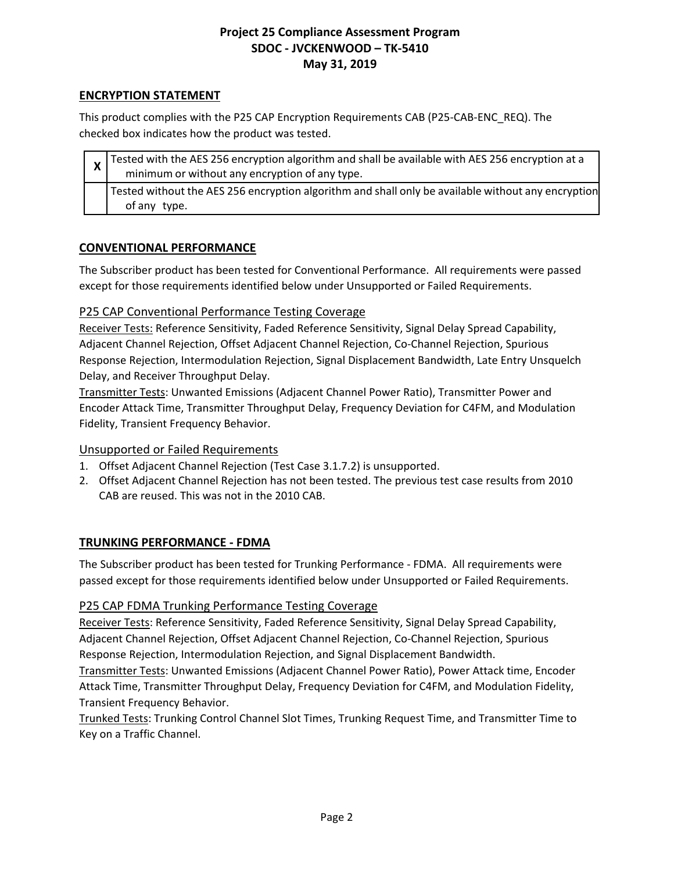### **ENCRYPTION STATEMENT**

This product complies with the P25 CAP Encryption Requirements CAB (P25-CAB-ENC\_REQ). The checked box indicates how the product was tested.

| $\frac{1}{x}$ Tested with the AES 256 encryption algorithm and shall be available with AES 256 encryption at a<br>minimum or without any encryption of any type. |
|------------------------------------------------------------------------------------------------------------------------------------------------------------------|
| Tested without the AES 256 encryption algorithm and shall only be available without any encryption<br>of any type.                                               |

### **CONVENTIONAL PERFORMANCE**

The Subscriber product has been tested for Conventional Performance. All requirements were passed except for those requirements identified below under Unsupported or Failed Requirements.

### P25 CAP Conventional Performance Testing Coverage

Receiver Tests: Reference Sensitivity, Faded Reference Sensitivity, Signal Delay Spread Capability, Adjacent Channel Rejection, Offset Adjacent Channel Rejection, Co-Channel Rejection, Spurious Response Rejection, Intermodulation Rejection, Signal Displacement Bandwidth, Late Entry Unsquelch Delay, and Receiver Throughput Delay.

Transmitter Tests: Unwanted Emissions (Adjacent Channel Power Ratio), Transmitter Power and Encoder Attack Time, Transmitter Throughput Delay, Frequency Deviation for C4FM, and Modulation Fidelity, Transient Frequency Behavior.

### Unsupported or Failed Requirements

- 1. Offset Adjacent Channel Rejection (Test Case 3.1.7.2) is unsupported.
- 2. Offset Adjacent Channel Rejection has not been tested. The previous test case results from 2010 CAB are reused. This was not in the 2010 CAB.

### **TRUNKING PERFORMANCE - FDMA**

The Subscriber product has been tested for Trunking Performance - FDMA. All requirements were passed except for those requirements identified below under Unsupported or Failed Requirements.

### P25 CAP FDMA Trunking Performance Testing Coverage

Receiver Tests: Reference Sensitivity, Faded Reference Sensitivity, Signal Delay Spread Capability, Adjacent Channel Rejection, Offset Adjacent Channel Rejection, Co-Channel Rejection, Spurious Response Rejection, Intermodulation Rejection, and Signal Displacement Bandwidth.

Transmitter Tests: Unwanted Emissions (Adjacent Channel Power Ratio), Power Attack time, Encoder Attack Time, Transmitter Throughput Delay, Frequency Deviation for C4FM, and Modulation Fidelity, Transient Frequency Behavior.

Trunked Tests: Trunking Control Channel Slot Times, Trunking Request Time, and Transmitter Time to Key on a Traffic Channel.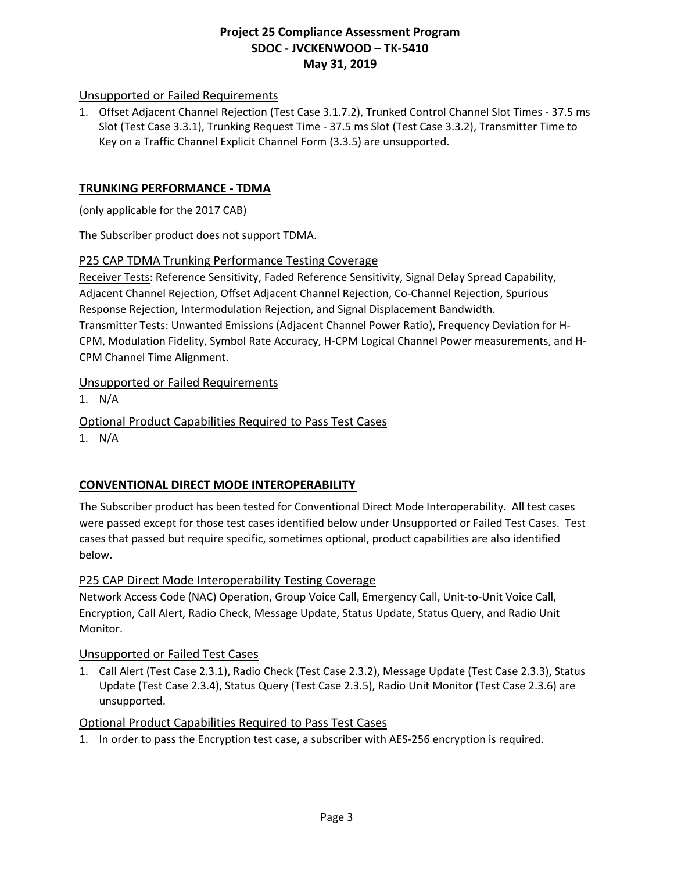### Unsupported or Failed Requirements

1. Offset Adjacent Channel Rejection (Test Case 3.1.7.2), Trunked Control Channel Slot Times - 37.5 ms Slot (Test Case 3.3.1), Trunking Request Time - 37.5 ms Slot (Test Case 3.3.2), Transmitter Time to Key on a Traffic Channel Explicit Channel Form (3.3.5) are unsupported.

### **TRUNKING PERFORMANCE - TDMA**

(only applicable for the 2017 CAB)

The Subscriber product does not support TDMA.

#### P25 CAP TDMA Trunking Performance Testing Coverage

Receiver Tests: Reference Sensitivity, Faded Reference Sensitivity, Signal Delay Spread Capability, Adjacent Channel Rejection, Offset Adjacent Channel Rejection, Co-Channel Rejection, Spurious Response Rejection, Intermodulation Rejection, and Signal Displacement Bandwidth. Transmitter Tests: Unwanted Emissions (Adjacent Channel Power Ratio), Frequency Deviation for H-CPM, Modulation Fidelity, Symbol Rate Accuracy, H-CPM Logical Channel Power measurements, and H-CPM Channel Time Alignment.

### Unsupported or Failed Requirements

1. N/A

Optional Product Capabilities Required to Pass Test Cases

1. N/A

## **CONVENTIONAL DIRECT MODE INTEROPERABILITY**

The Subscriber product has been tested for Conventional Direct Mode Interoperability. All test cases were passed except for those test cases identified below under Unsupported or Failed Test Cases. Test cases that passed but require specific, sometimes optional, product capabilities are also identified below.

### P25 CAP Direct Mode Interoperability Testing Coverage

Network Access Code (NAC) Operation, Group Voice Call, Emergency Call, Unit-to-Unit Voice Call, Encryption, Call Alert, Radio Check, Message Update, Status Update, Status Query, and Radio Unit Monitor.

### Unsupported or Failed Test Cases

1. Call Alert (Test Case 2.3.1), Radio Check (Test Case 2.3.2), Message Update (Test Case 2.3.3), Status Update (Test Case 2.3.4), Status Query (Test Case 2.3.5), Radio Unit Monitor (Test Case 2.3.6) are unsupported.

### Optional Product Capabilities Required to Pass Test Cases

1. In order to pass the Encryption test case, a subscriber with AES-256 encryption is required.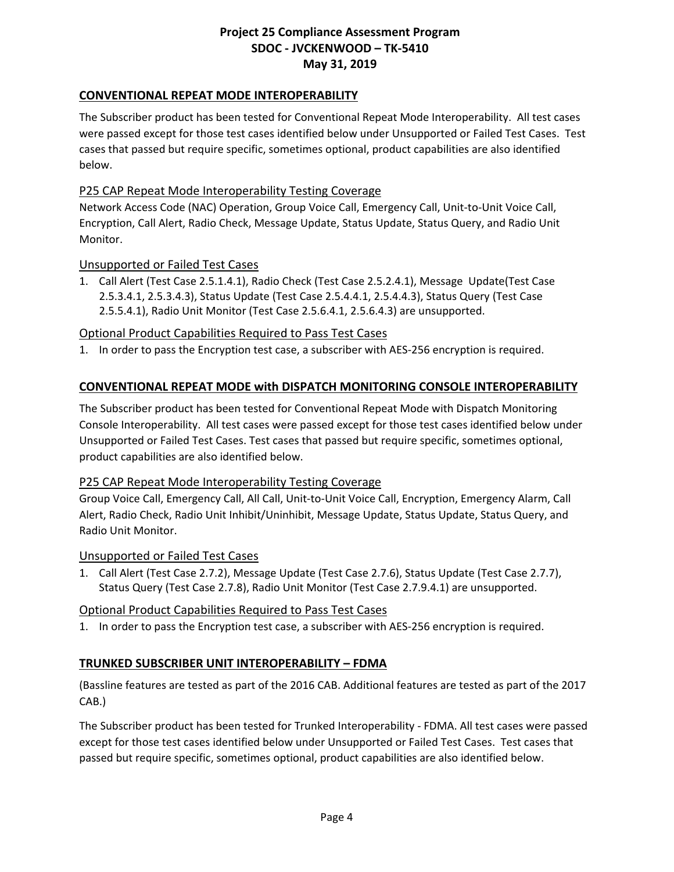### **CONVENTIONAL REPEAT MODE INTEROPERABILITY**

The Subscriber product has been tested for Conventional Repeat Mode Interoperability. All test cases were passed except for those test cases identified below under Unsupported or Failed Test Cases. Test cases that passed but require specific, sometimes optional, product capabilities are also identified below.

### P25 CAP Repeat Mode Interoperability Testing Coverage

Network Access Code (NAC) Operation, Group Voice Call, Emergency Call, Unit-to-Unit Voice Call, Encryption, Call Alert, Radio Check, Message Update, Status Update, Status Query, and Radio Unit Monitor.

#### Unsupported or Failed Test Cases

1. Call Alert (Test Case 2.5.1.4.1), Radio Check (Test Case 2.5.2.4.1), Message Update(Test Case 2.5.3.4.1, 2.5.3.4.3), Status Update (Test Case 2.5.4.4.1, 2.5.4.4.3), Status Query (Test Case 2.5.5.4.1), Radio Unit Monitor (Test Case 2.5.6.4.1, 2.5.6.4.3) are unsupported.

### Optional Product Capabilities Required to Pass Test Cases

1. In order to pass the Encryption test case, a subscriber with AES-256 encryption is required.

### **CONVENTIONAL REPEAT MODE with DISPATCH MONITORING CONSOLE INTEROPERABILITY**

The Subscriber product has been tested for Conventional Repeat Mode with Dispatch Monitoring Console Interoperability. All test cases were passed except for those test cases identified below under Unsupported or Failed Test Cases. Test cases that passed but require specific, sometimes optional, product capabilities are also identified below.

#### P25 CAP Repeat Mode Interoperability Testing Coverage

Group Voice Call, Emergency Call, All Call, Unit-to-Unit Voice Call, Encryption, Emergency Alarm, Call Alert, Radio Check, Radio Unit Inhibit/Uninhibit, Message Update, Status Update, Status Query, and Radio Unit Monitor.

#### Unsupported or Failed Test Cases

1. Call Alert (Test Case 2.7.2), Message Update (Test Case 2.7.6), Status Update (Test Case 2.7.7), Status Query (Test Case 2.7.8), Radio Unit Monitor (Test Case 2.7.9.4.1) are unsupported.

### Optional Product Capabilities Required to Pass Test Cases

1. In order to pass the Encryption test case, a subscriber with AES-256 encryption is required.

### **TRUNKED SUBSCRIBER UNIT INTEROPERABILITY – FDMA**

(Bassline features are tested as part of the 2016 CAB. Additional features are tested as part of the 2017 CAB.)

The Subscriber product has been tested for Trunked Interoperability - FDMA. All test cases were passed except for those test cases identified below under Unsupported or Failed Test Cases. Test cases that passed but require specific, sometimes optional, product capabilities are also identified below.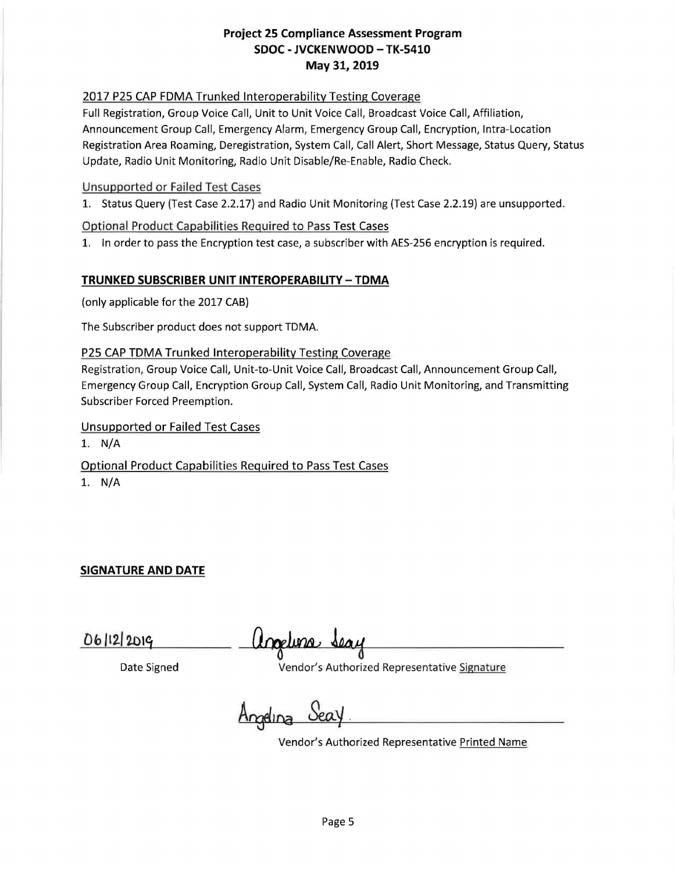### 2017 P25 CAP FDMA Trunked Interoperability Testing Coverage

Full Registration, Group Voice Call, Unit to Unit Voice Call, Broadcast Voice Call, Affiliation, Announcement Group Call, Emergency Alarm, Emergency Group Call, Encryption, Intra-Location Registration Area Roaming, Deregistration, System Call, Call Alert, Short Message, Status Query, Status Update, Radio Unit Monitoring, Radio Unit Disable/Re-Enable, Radio Check.

#### Unsupported or Failed Test Cases

1. Status Query (Test Case 2.2.17} and Radio Unit Monitoring (Test Case 2.2.19) are unsupported.

#### Optional Product Capabilities Required to Pass Test Cases

1. In order to pass the Encryption test case, a subscriber with AES-256 encryption is required.

#### **TRUNKED SUBSCRIBER UNIT INTEROPERABILITY - TDMA**

(only applicable for the 2017 CAB)

The Subscriber product does not support TDMA.

#### P25 CAP TDMA Trunked Interoperability Testing Coverage

Registration, Group Voice Call, Unit-to-Unit Voice Call, Broadcast Call, Announcement Group Call, Emergency Group Call, Encryption Group Call, System Call, Radio Unit Monitoring, and Transmitting Subscriber Forced Preemption.

Unsupported or Failed Test Cases

1. N/A

Optional Product Capabilities Required to Pass Test Cases **1. N/A** 

**SIGNATURE AND DATE** 

anglina Seay

Date Signed Vendor's Authorized Representative Signature

<u>Angelina Sea</u>

Vendor's Authorized Representative Printed Name